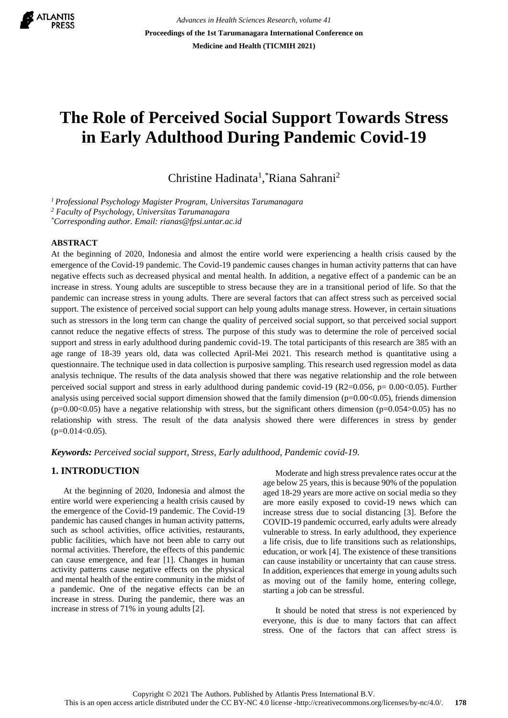

*Advances in Health Sciences Research, volume 41* **Proceedings of the 1st Tarumanagara International Conference on Medicine and Health (TICMIH 2021)**

# **The Role of Perceived Social Support Towards Stress in Early Adulthood During Pandemic Covid-19**

Christine Hadinata<sup>1</sup>, Riana Sahrani<sup>2</sup>

*<sup>1</sup>Professional Psychology Magister Program, Universitas Tarumanagara*

*<sup>2</sup> Faculty of Psychology, Universitas Tarumanagara*

*\*Corresponding author. Email: rianas@fpsi.untar.ac.id*

## **ABSTRACT**

At the beginning of 2020, Indonesia and almost the entire world were experiencing a health crisis caused by the emergence of the Covid-19 pandemic. The Covid-19 pandemic causes changes in human activity patterns that can have negative effects such as decreased physical and mental health. In addition, a negative effect of a pandemic can be an increase in stress. Young adults are susceptible to stress because they are in a transitional period of life. So that the pandemic can increase stress in young adults. There are several factors that can affect stress such as perceived social support. The existence of perceived social support can help young adults manage stress. However, in certain situations such as stressors in the long term can change the quality of perceived social support, so that perceived social support cannot reduce the negative effects of stress. The purpose of this study was to determine the role of perceived social support and stress in early adulthood during pandemic covid-19. The total participants of this research are 385 with an age range of 18-39 years old, data was collected April-Mei 2021. This research method is quantitative using a questionnaire. The technique used in data collection is purposive sampling. This research used regression model as data analysis technique. The results of the data analysis showed that there was negative relationship and the role between perceived social support and stress in early adulthood during pandemic covid-19 (R2=0.056, p= 0.00<0.05). Further analysis using perceived social support dimension showed that the family dimension ( $p=0.00<0.05$ ), friends dimension  $(p=0.00<0.05)$  have a negative relationship with stress, but the significant others dimension  $(p=0.054>0.05)$  has no relationship with stress. The result of the data analysis showed there were differences in stress by gender  $(p=0.014<0.05)$ .

*Keywords: Perceived social support, Stress, Early adulthood, Pandemic covid-19.*

# **1. INTRODUCTION**

At the beginning of 2020, Indonesia and almost the entire world were experiencing a health crisis caused by the emergence of the Covid-19 pandemic. The Covid-19 pandemic has caused changes in human activity patterns, such as school activities, office activities, restaurants, public facilities, which have not been able to carry out normal activities. Therefore, the effects of this pandemic can cause emergence, and fear [1]. Changes in human activity patterns cause negative effects on the physical and mental health of the entire community in the midst of a pandemic. One of the negative effects can be an increase in stress. During the pandemic, there was an increase in stress of 71% in young adults [2].

Moderate and high stress prevalence rates occur at the age below 25 years, this is because 90% of the population aged 18-29 years are more active on social media so they are more easily exposed to covid-19 news which can increase stress due to social distancing [3]. Before the COVID-19 pandemic occurred, early adults were already vulnerable to stress. In early adulthood, they experience a life crisis, due to life transitions such as relationships, education, or work [4]. The existence of these transitions can cause instability or uncertainty that can cause stress. In addition, experiences that emerge in young adults such as moving out of the family home, entering college, starting a job can be stressful.

It should be noted that stress is not experienced by everyone, this is due to many factors that can affect stress. One of the factors that can affect stress is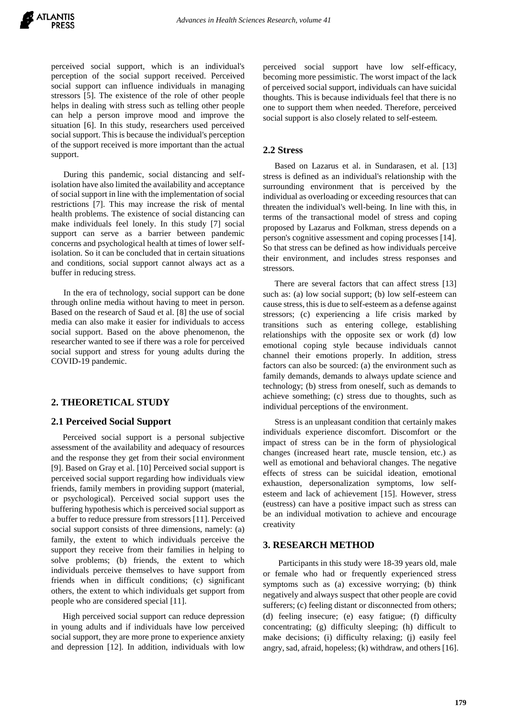perceived social support, which is an individual's perception of the social support received. Perceived social support can influence individuals in managing stressors [5]. The existence of the role of other people helps in dealing with stress such as telling other people can help a person improve mood and improve the situation [6]. In this study, researchers used perceived social support. This is because the individual's perception of the support received is more important than the actual support.

During this pandemic, social distancing and selfisolation have also limited the availability and acceptance of social support in line with the implementation of social restrictions [7]. This may increase the risk of mental health problems. The existence of social distancing can make individuals feel lonely. In this study [7] social support can serve as a barrier between pandemic concerns and psychological health at times of lower selfisolation. So it can be concluded that in certain situations and conditions, social support cannot always act as a buffer in reducing stress.

In the era of technology, social support can be done through online media without having to meet in person. Based on the research of Saud et al. [8] the use of social media can also make it easier for individuals to access social support. Based on the above phenomenon, the researcher wanted to see if there was a role for perceived social support and stress for young adults during the COVID-19 pandemic.

## **2. THEORETICAL STUDY**

#### **2.1 Perceived Social Support**

Perceived social support is a personal subjective assessment of the availability and adequacy of resources and the response they get from their social environment [9]. Based on Gray et al. [10] Perceived social support is perceived social support regarding how individuals view friends, family members in providing support (material, or psychological). Perceived social support uses the buffering hypothesis which is perceived social support as a buffer to reduce pressure from stressors [11]. Perceived social support consists of three dimensions, namely: (a) family, the extent to which individuals perceive the support they receive from their families in helping to solve problems; (b) friends, the extent to which individuals perceive themselves to have support from friends when in difficult conditions; (c) significant others, the extent to which individuals get support from people who are considered special [11].

High perceived social support can reduce depression in young adults and if individuals have low perceived social support, they are more prone to experience anxiety and depression [12]. In addition, individuals with low perceived social support have low self-efficacy, becoming more pessimistic. The worst impact of the lack of perceived social support, individuals can have suicidal thoughts. This is because individuals feel that there is no one to support them when needed. Therefore, perceived social support is also closely related to self-esteem*.*

#### **2.2 Stress**

Based on Lazarus et al. in Sundarasen, et al. [13] stress is defined as an individual's relationship with the surrounding environment that is perceived by the individual as overloading or exceeding resources that can threaten the individual's well-being. In line with this, in terms of the transactional model of stress and coping proposed by Lazarus and Folkman, stress depends on a person's cognitive assessment and coping processes [14]. So that stress can be defined as how individuals perceive their environment, and includes stress responses and stressors.

There are several factors that can affect stress [13] such as: (a) low social support; (b) low self-esteem can cause stress, this is due to self-esteem as a defense against stressors; (c) experiencing a life crisis marked by transitions such as entering college, establishing relationships with the opposite sex or work (d) low emotional coping style because individuals cannot channel their emotions properly. In addition, stress factors can also be sourced: (a) the environment such as family demands, demands to always update science and technology; (b) stress from oneself, such as demands to achieve something; (c) stress due to thoughts, such as individual perceptions of the environment.

Stress is an unpleasant condition that certainly makes individuals experience discomfort. Discomfort or the impact of stress can be in the form of physiological changes (increased heart rate, muscle tension, etc.) as well as emotional and behavioral changes. The negative effects of stress can be suicidal ideation, emotional exhaustion, depersonalization symptoms, low selfesteem and lack of achievement [15]. However, stress (eustress) can have a positive impact such as stress can be an individual motivation to achieve and encourage creativity

### **3. RESEARCH METHOD**

Participants in this study were 18-39 years old, male or female who had or frequently experienced stress symptoms such as (a) excessive worrying; (b) think negatively and always suspect that other people are covid sufferers; (c) feeling distant or disconnected from others; (d) feeling insecure; (e) easy fatigue; (f) difficulty concentrating; (g) difficulty sleeping; (h) difficult to make decisions; (i) difficulty relaxing; (j) easily feel angry, sad, afraid, hopeless; (k) withdraw, and others [16].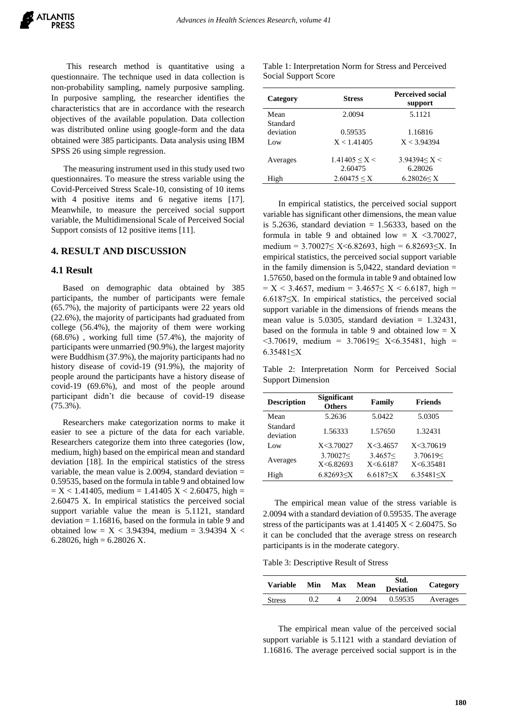This research method is quantitative using a questionnaire. The technique used in data collection is non-probability sampling, namely purposive sampling. In purposive sampling, the researcher identifies the characteristics that are in accordance with the research objectives of the available population. Data collection was distributed online using google-form and the data obtained were 385 participants. Data analysis using IBM SPSS 26 using simple regression.

The measuring instrument used in this study used two questionnaires. To measure the stress variable using the Covid-Perceived Stress Scale-10, consisting of 10 items with 4 positive items and 6 negative items [17]. Meanwhile, to measure the perceived social support variable, the Multidimensional Scale of Perceived Social Support consists of 12 positive items [11].

### **4. RESULT AND DISCUSSION**

#### **4.1 Result**

Based on demographic data obtained by 385 participants, the number of participants were female (65.7%), the majority of participants were 22 years old (22.6%), the majority of participants had graduated from college (56.4%), the majority of them were working (68.6%) , working full time (57.4%), the majority of participants were unmarried (90.9%), the largest majority were Buddhism (37.9%), the majority participants had no history disease of covid-19 (91.9%), the majority of people around the participants have a history disease of covid-19 (69.6%), and most of the people around participant didn't die because of covid-19 disease (75.3%).

Researchers make categorization norms to make it easier to see a picture of the data for each variable. Researchers categorize them into three categories (low, medium, high) based on the empirical mean and standard deviation [18]. In the empirical statistics of the stress variable, the mean value is  $2.0094$ , standard deviation = 0.59535, based on the formula in table 9 and obtained low  $= X < 1.41405$ , medium  $= 1.41405 X < 2.60475$ , high  $=$ 2.60475 X. In empirical statistics the perceived social support variable value the mean is 5.1121, standard deviation  $= 1.16816$ , based on the formula in table 9 and obtained low =  $X < 3.94394$ , medium = 3.94394 X < 6.28026, high =  $6.28026$  X.

Table 1: Interpretation Norm for Stress and Perceived Social Support Score

| Category  | <b>Stress</b>       | <b>Perceived social</b><br>support |
|-----------|---------------------|------------------------------------|
| Mean      | 2.0094              | 5.1121                             |
| Standard  |                     |                                    |
| deviation | 0.59535             | 1.16816                            |
| Low       | X < 1.41405         | X < 3.94394                        |
|           |                     |                                    |
| Averages  | $1.41405 \le X \le$ | 3.94394 < X <                      |
|           | 2.60475             | 6.28026                            |
| High      | 2.60475 < X         | 6.28026 < X                        |

In empirical statistics, the perceived social support variable has significant other dimensions, the mean value is 5.2636, standard deviation  $= 1.56333$ , based on the formula in table 9 and obtained low =  $X \leq 3.70027$ , medium =  $3.70027 \le X \le 6.82693$ , high =  $6.82693 \le X$ . In empirical statistics, the perceived social support variable in the family dimension is  $5,0422$ , standard deviation = 1.57650, based on the formula in table 9 and obtained low  $= X < 3.4657$ , medium = 3.4657 $\le X < 6.6187$ , high = 6.6187≤X. In empirical statistics, the perceived social support variable in the dimensions of friends means the mean value is  $5.0305$ , standard deviation = 1.32431, based on the formula in table 9 and obtained low  $= X$  $\leq$ 3.70619, medium = 3.70619 $\leq$  X $\leq$ 6.35481, high = 6.35481≤X

Table 2: Interpretation Norm for Perceived Social Support Dimension

| <b>Description</b>    | <b>Significant</b><br><b>Others</b> | Family                | <b>Friends</b>          |  |
|-----------------------|-------------------------------------|-----------------------|-------------------------|--|
| Mean                  | 5.2636                              | 5.0422                | 5.0305                  |  |
| Standard<br>deviation | 1.56333                             | 1.57650               | 1.32431                 |  |
| Low                   | X<3.70027                           | X < 3.4657            | X < 3.70619             |  |
| Averages              | 3.70027<<br>X<6.82693               | 3.4657<<br>X < 6.6187 | 3.70619<<br>X < 6.35481 |  |
| High                  | 6.82693< X                          | 6.6187 < X            | 6.35481 < X             |  |

The empirical mean value of the stress variable is 2.0094 with a standard deviation of 0.59535. The average stress of the participants was at  $1.41405$  X <  $2.60475$ . So it can be concluded that the average stress on research participants is in the moderate category.

Table 3: Descriptive Result of Stress

| Variable      | Min | Max | Mean   | Std.<br><b>Deviation</b> | Category |
|---------------|-----|-----|--------|--------------------------|----------|
| <b>Stress</b> | 0.2 |     | 2.0094 | 0.59535                  | Averages |

The empirical mean value of the perceived social support variable is 5.1121 with a standard deviation of 1.16816. The average perceived social support is in the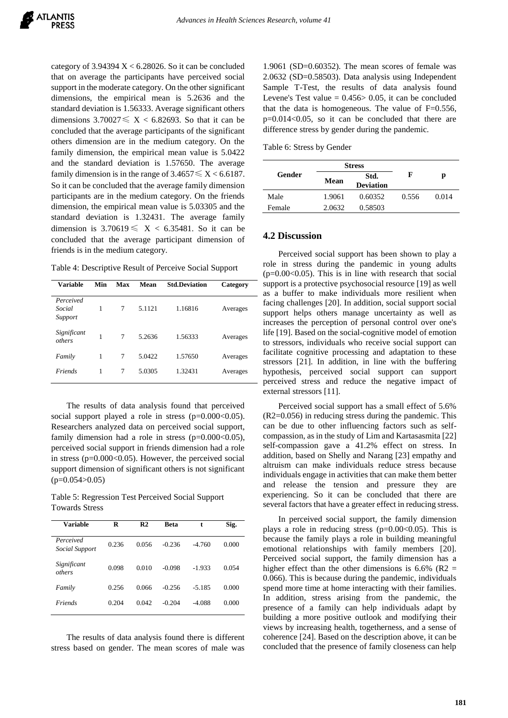category of  $3.94394 \text{ X} < 6.28026$ . So it can be concluded that on average the participants have perceived social support in the moderate category. On the other significant dimensions, the empirical mean is 5.2636 and the standard deviation is 1.56333. Average significant others dimensions  $3.70027 \leq X < 6.82693$ . So that it can be concluded that the average participants of the significant others dimension are in the medium category. On the family dimension, the empirical mean value is 5.0422 and the standard deviation is 1.57650. The average family dimension is in the range of  $3.4657 \le X < 6.6187$ . So it can be concluded that the average family dimension participants are in the medium category. On the friends dimension, the empirical mean value is 5.03305 and the standard deviation is 1.32431. The average family dimension is  $3.70619 \leq X < 6.35481$ . So it can be concluded that the average participant dimension of friends is in the medium category.

Table 4: Descriptive Result of Perceive Social Support

| <b>Variable</b>                | Min | Max | Mean   | <b>Std.Deviation</b> | Category |
|--------------------------------|-----|-----|--------|----------------------|----------|
| Perceived<br>Social<br>Support | 1   | 7   | 5.1121 | 1.16816              | Averages |
| Significant<br>others          | 1   | 7   | 5.2636 | 1.56333              | Averages |
| Family                         | 1   | 7   | 5.0422 | 1.57650              | Averages |
| Friends                        | 1   | 7   | 5.0305 | 1.32431              | Averages |

The results of data analysis found that perceived social support played a role in stress  $(p=0.000<0.05)$ . Researchers analyzed data on perceived social support, family dimension had a role in stress  $(p=0.000<0.05)$ , perceived social support in friends dimension had a role in stress ( $p=0.000<0.05$ ). However, the perceived social support dimension of significant others is not significant  $(p=0.054>0.05)$ 

Table 5: Regression Test Perceived Social Support Towards Stress

| Variable                    | R     | R <sub>2</sub> | Beta     | t        | Sig.  |
|-----------------------------|-------|----------------|----------|----------|-------|
| Perceived<br>Social Support | 0.236 | 0.056          | $-0.236$ | $-4.760$ | 0.000 |
| Significant<br>others       | 0.098 | 0.010          | $-0.098$ | -1.933   | 0.054 |
| Family                      | 0.256 | 0.066          | $-0.256$ | $-5.185$ | 0.000 |
| Friends                     | 0.204 | 0.042          | $-0.204$ | $-4.088$ | 0.000 |

The results of data analysis found there is different stress based on gender. The mean scores of male was 1.9061 (SD=0.60352). The mean scores of female was 2.0632 (SD=0.58503). Data analysis using Independent Sample T-Test, the results of data analysis found Levene's Test value  $= 0.456 > 0.05$ , it can be concluded that the data is homogeneous. The value of  $F=0.556$ , p=0.014<0.05, so it can be concluded that there are difference stress by gender during the pandemic.

Table 6: Stress by Gender

|        |        | <b>Stress</b>            |       |       |  |
|--------|--------|--------------------------|-------|-------|--|
| Gender | Mean   | Std.<br><b>Deviation</b> | F     | р     |  |
| Male   | 1.9061 | 0.60352                  | 0.556 | 0.014 |  |
| Female | 2.0632 | 0.58503                  |       |       |  |

# **4.2 Discussion**

Perceived social support has been shown to play a role in stress during the pandemic in young adults  $(p=0.00<0.05)$ . This is in line with research that social support is a protective psychosocial resource [19] as well as a buffer to make individuals more resilient when facing challenges [20]. In addition, social support social support helps others manage uncertainty as well as increases the perception of personal control over one's life [19]. Based on the social-cognitive model of emotion to stressors, individuals who receive social support can facilitate cognitive processing and adaptation to these stressors [21]. In addition, in line with the buffering hypothesis, perceived social support can support perceived stress and reduce the negative impact of external stressors [11].

Perceived social support has a small effect of 5.6% (R2=0.056) in reducing stress during the pandemic. This can be due to other influencing factors such as selfcompassion, as in the study of Lim and Kartasasmita [22] self-compassion gave a 41.2% effect on stress. In addition, based on Shelly and Narang [23] empathy and altruism can make individuals reduce stress because individuals engage in activities that can make them better and release the tension and pressure they are experiencing. So it can be concluded that there are several factors that have a greater effect in reducing stress.

In perceived social support, the family dimension plays a role in reducing stress ( $p=0.00<0.05$ ). This is because the family plays a role in building meaningful emotional relationships with family members [20]. Perceived social support, the family dimension has a higher effect than the other dimensions is  $6.6\%$  (R2 = 0.066). This is because during the pandemic, individuals spend more time at home interacting with their families. In addition, stress arising from the pandemic, the presence of a family can help individuals adapt by building a more positive outlook and modifying their views by increasing health, togetherness, and a sense of coherence [24]. Based on the description above, it can be concluded that the presence of family closeness can help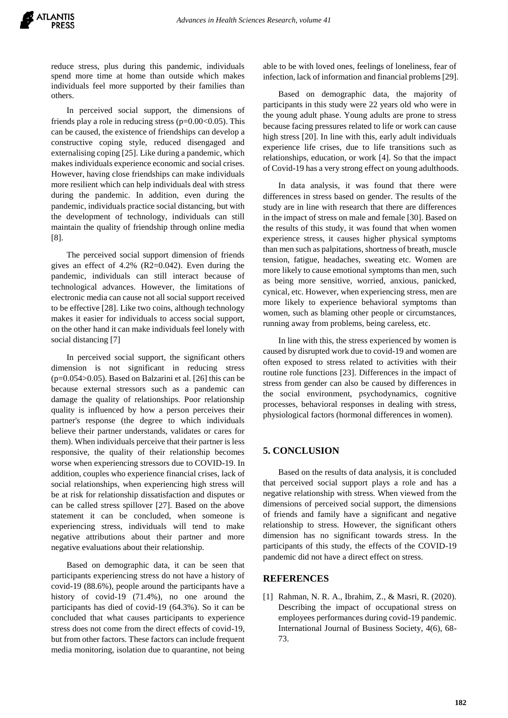reduce stress, plus during this pandemic, individuals spend more time at home than outside which makes individuals feel more supported by their families than others.

In perceived social support, the dimensions of friends play a role in reducing stress ( $p=0.00<0.05$ ). This can be caused, the existence of friendships can develop a constructive coping style, reduced disengaged and externalising coping [25]. Like during a pandemic, which makes individuals experience economic and social crises. However, having close friendships can make individuals more resilient which can help individuals deal with stress during the pandemic. In addition, even during the pandemic, individuals practice social distancing, but with the development of technology, individuals can still maintain the quality of friendship through online media [8].

The perceived social support dimension of friends gives an effect of 4.2% (R2=0.042). Even during the pandemic, individuals can still interact because of technological advances. However, the limitations of electronic media can cause not all social support received to be effective [28]. Like two coins, although technology makes it easier for individuals to access social support, on the other hand it can make individuals feel lonely with social distancing [7]

In perceived social support, the significant others dimension is not significant in reducing stress  $(p=0.054>0.05)$ . Based on Balzarini et al. [26] this can be because external stressors such as a pandemic can damage the quality of relationships. Poor relationship quality is influenced by how a person perceives their partner's response (the degree to which individuals believe their partner understands, validates or cares for them). When individuals perceive that their partner is less responsive, the quality of their relationship becomes worse when experiencing stressors due to COVID-19. In addition, couples who experience financial crises, lack of social relationships, when experiencing high stress will be at risk for relationship dissatisfaction and disputes or can be called stress spillover [27]. Based on the above statement it can be concluded, when someone is experiencing stress, individuals will tend to make negative attributions about their partner and more negative evaluations about their relationship.

Based on demographic data, it can be seen that participants experiencing stress do not have a history of covid-19 (88.6%), people around the participants have a history of covid-19 (71.4%), no one around the participants has died of covid-19 (64.3%). So it can be concluded that what causes participants to experience stress does not come from the direct effects of covid-19, but from other factors. These factors can include frequent media monitoring, isolation due to quarantine, not being able to be with loved ones, feelings of loneliness, fear of infection, lack of information and financial problems [29].

Based on demographic data, the majority of participants in this study were 22 years old who were in the young adult phase. Young adults are prone to stress because facing pressures related to life or work can cause high stress [20]. In line with this, early adult individuals experience life crises, due to life transitions such as relationships, education, or work [4]. So that the impact of Covid-19 has a very strong effect on young adulthoods.

In data analysis, it was found that there were differences in stress based on gender. The results of the study are in line with research that there are differences in the impact of stress on male and female [30]. Based on the results of this study, it was found that when women experience stress, it causes higher physical symptoms than men such as palpitations, shortness of breath, muscle tension, fatigue, headaches, sweating etc. Women are more likely to cause emotional symptoms than men, such as being more sensitive, worried, anxious, panicked, cynical, etc. However, when experiencing stress, men are more likely to experience behavioral symptoms than women, such as blaming other people or circumstances, running away from problems, being careless, etc.

In line with this, the stress experienced by women is caused by disrupted work due to covid-19 and women are often exposed to stress related to activities with their routine role functions [23]. Differences in the impact of stress from gender can also be caused by differences in the social environment, psychodynamics, cognitive processes, behavioral responses in dealing with stress, physiological factors (hormonal differences in women).

## **5. CONCLUSION**

Based on the results of data analysis, it is concluded that perceived social support plays a role and has a negative relationship with stress. When viewed from the dimensions of perceived social support, the dimensions of friends and family have a significant and negative relationship to stress. However, the significant others dimension has no significant towards stress. In the participants of this study, the effects of the COVID-19 pandemic did not have a direct effect on stress.

## **REFERENCES**

[1] Rahman, N. R. A., Ibrahim, Z., & Masri, R. (2020). Describing the impact of occupational stress on employees performances during covid-19 pandemic. International Journal of Business Society, 4(6), 68- 73.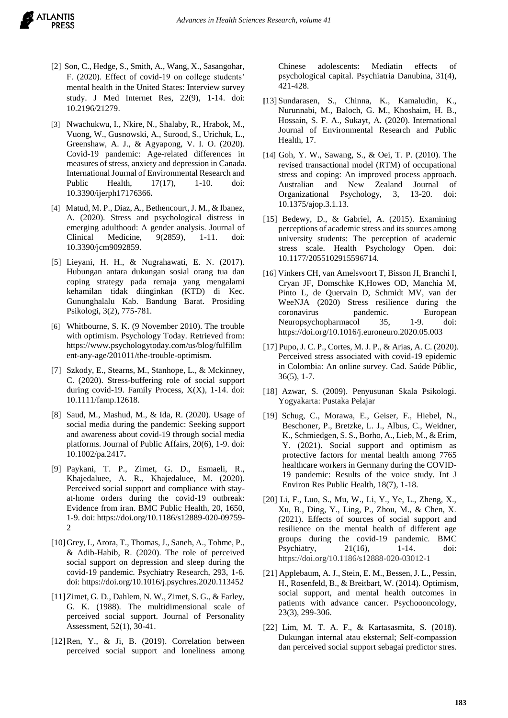- [2] Son, C., Hedge, S., Smith, A., Wang, X., Sasangohar, F. (2020). Effect of covid-19 on college students' mental health in the United States: Interview survey study. J Med Internet Res, 22(9), 1-14. doi: [10.2196/21279.](https://dx.doi.org/10.2196%2F21279)
- [3] Nwachukwu, I., Nkire, N., Shalaby, R., Hrabok, M., Vuong, W., Gusnowski, A., Surood, S., Urichuk, L., Greenshaw, A. J., & Agyapong, V. I. O. (2020). Covid-19 pandemic: Age-related differences in measures of stress, anxiety and depression in Canada. International Journal of Environmental Research and Public Health, 17(17), 1-10. doi: [10.3390/ijerph17176366](https://doi.org/10.3390/ijerph17176366)*.*
- [4] Matud, M. P., Diaz, A., Bethencourt, J. M., & Ibanez, A. (2020). Stress and psychological distress in emerging adulthood: A gender analysis. Journal of Clinical Medicine, 9(2859), 1-11. doi: 10.3390/jcm9092859.
- [5] Lieyani, H. H., & Nugrahawati, E. N. (2017). Hubungan antara dukungan sosial orang tua dan coping strategy pada remaja yang mengalami kehamilan tidak diinginkan (KTD) di Kec. Gununghalalu Kab. Bandung Barat. Prosiding Psikologi, 3(2), 775-781*.*
- [6] Whitbourne, S. K. (9 November 2010). The trouble with optimism. Psychology Today. Retrieved from: [https://www.psychologytoday.com/us/blog/fulfillm](https://www.psychologytoday.com/us/blog/fulfillment-any-age/201011/the-trouble-optimism) [ent-any-age/201011/the-trouble-optimism](https://www.psychologytoday.com/us/blog/fulfillment-any-age/201011/the-trouble-optimism)*.*
- [7] Szkody, E., Stearns, M., Stanhope, L., & Mckinney, C. (2020). Stress-buffering role of social support during covid-19. Family Process, X(X), 1-14. doi: 10.1111/famp.12618.
- [8] Saud, M., Mashud, M., & Ida, R. (2020). Usage of social media during the pandemic: Seeking support and awareness about covid-19 through social media platforms. Journal of Public Affairs, 20(6), 1-9. doi: [10.1002/pa.2417](http://dx.doi.org/10.1002/pa.2417)**.**
- [9] Paykani, T. P., Zimet, G. D., Esmaeli, R., Khajedaluee, A. R., Khajedaluee, M. (2020). Perceived social support and compliance with stayat-home orders during the covid-19 outbreak: Evidence from iran. BMC Public Health, 20, 1650, 1-9. doi: https://doi.org/10.1186/s12889-020-09759- 2
- [10]Grey, I., Arora, T., Thomas, J., Saneh, A., Tohme, P., & Adib-Habib, R. (2020). The role of perceived social support on depression and sleep during the covid-19 pandemic. Psychiatry Research, 293, 1-6. doi: https://doi.org/10.1016/j.psychres.2020.113452
- [11] Zimet, G. D., Dahlem, N. W., Zimet, S. G., & Farley, G. K. (1988). The multidimensional scale of perceived social support. Journal of Personality Assessment, 52(1), 30-41.
- [12]Ren, Y., & Ji, B. (2019). Correlation between perceived social support and loneliness among

Chinese adolescents: Mediatin effects of psychological capital. Psychiatria Danubina, 31(4), 421-428.

- **[**13] Sundarasen, S., Chinna, K., Kamaludin, K., Nurunnabi, M., Baloch, G. M., Khoshaim, H. B., Hossain, S. F. A., Sukayt, A. (2020). International Journal of Environmental Research and Public Health, 17.
- [14] Goh, Y. W., Sawang, S., & Oei, T. P. (2010). The revised transactional model (RTM) of occupational stress and coping: An improved process approach. Australian and New Zealand Journal of Organizational Psychology, 3, 13-20. doi: 10.1375/ajop.3.1.13.
- [15] Bedewy, D., & Gabriel, A. (2015). Examining perceptions of academic stress and its sources among university students: The perception of academic stress scale. Health Psychology Open. doi: 10.1177/2055102915596714.
- [16] Vinkers CH, van Amelsvoort T, Bisson JI, Branchi I, Cryan JF, Domschke K,Howes OD, Manchia M, Pinto L, de Quervain D, Schmidt MV, van der WeeNJA (2020) Stress resilience during the coronavirus pandemic. European Neuropsychopharmacol 35, 1-9. doi: <https://doi.org/10.1016/j.euroneuro.2020.05.003>
- [17] Pupo, J. C. P., Cortes, M. J. P., & Arias, A. C. (2020). Perceived stress associated with covid-19 epidemic in Colombia: An online survey. Cad. Saúde Públic, 36(5), 1-7.
- [18] Azwar, S. (2009). Penyusunan Skala Psikologi. Yogyakarta: Pustaka Pelajar
- [19] Schug, C., Morawa, E., Geiser, F., Hiebel, N., Beschoner, P., Bretzke, L. J., Albus, C., Weidner, K., Schmiedgen, S. S., Borho, A., Lieb, M., & Erim, Y. (2021). Social support and optimism as protective factors for mental health among 7765 healthcare workers in Germany during the COVID-19 pandemic: Results of the voice study. Int J Environ Res Public Health, 18(7), 1-18.
- [20] Li, F., Luo, S., Mu, W., Li, Y., Ye, L., Zheng, X., Xu, B., Ding, Y., Ling, P., Zhou, M., & Chen, X. (2021). Effects of sources of social support and resilience on the mental health of different age groups during the covid-19 pandemic. BMC Psychiatry, 21(16), 1-14. doi: https://doi.org/10.1186/s12888-020-03012-1
- [21] Applebaum, A. J., Stein, E. M., Bessen, J. L., Pessin, H., Rosenfeld, B., & Breitbart, W. (2014). Optimism, social support, and mental health outcomes in patients with advance cancer. Psychoooncology, 23(3), 299-306.
- [22] Lim, M. T. A. F., & Kartasasmita, S. (2018). Dukungan internal atau eksternal; Self-compassion dan perceived social support sebagai predictor stres.